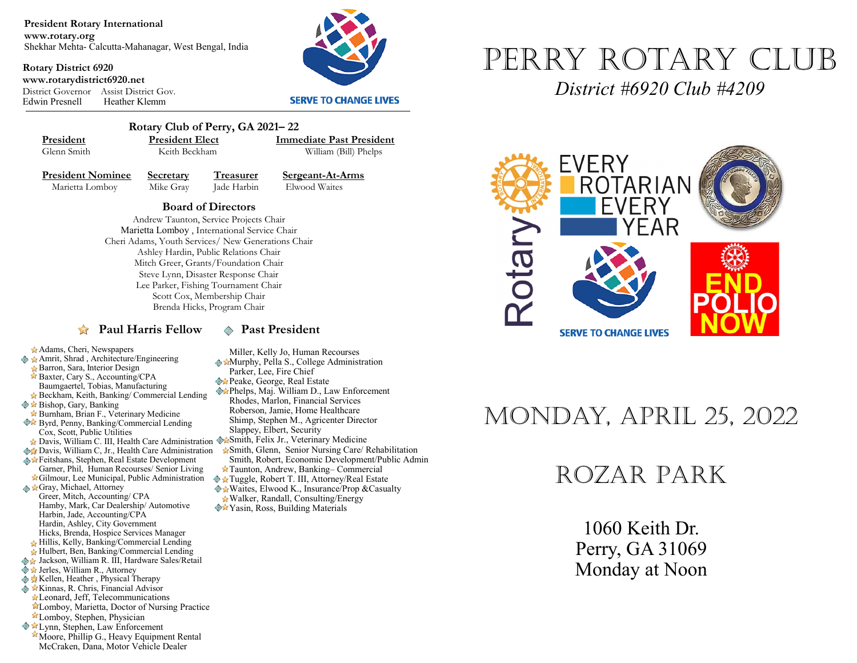**President Rotary International www.rotary.org** Shekhar Mehta- Calcutta-Mahanagar, West Bengal, India

**Rotary District 6920 www.rotarydistrict6920.net** District Governor Assist District Gov. Heather Klemm



#### **SERVE TO CHANGE LIVES**



 **Rotary Club of Perry, GA 2021– 22 President President Elect Immediate Past President**<br> **Glenn Smith Reith Beckham William (Bill) Phelns** 

William (Bill) Phelps

Adams, Cheri, Newspapers ◆ ★ Amrit, Shrad, Architecture/Engineering Barron, Sara, Interior Design Baxter, Cary S., Accounting/CPA Baumgaertel, Tobias, Manufacturing Beckham, Keith, Banking/ Commercial Lending

Cox, Scott, Public Utilities

 $\diamondsuit$  **★ Bishop, Gary, Banking** 

Gray, Michael, Attorney Greer, Mitch, Accounting/ CPA

**President Nominee Secretary Treasurer Sergeant-At-Arms**<br>Marietta Lomboy Mike Gray **Lade Harbin** Elwood Waites Marietta Lomboy Mike Gray Jade Harbin

#### **Board of Directors**

Andrew Taunton, Service Projects Chair Marietta Lomboy , International Service Chair Cheri Adams, Youth Services/ New Generations Chair Ashley Hardin, Public Relations Chair Mitch Greer, Grants/Foundation Chair Steve Lynn, Disaster Response Chair Lee Parker, Fishing Tournament Chair Scott Cox, Membership Chair Brenda Hicks, Program Chair

#### **Paul Harris Fellow**  $\otimes$  **Past President**

Miller, Kelly Jo, Human Recourses **Murphy, Pella S., College Administration** 

- Parker, Lee, Fire Chief
- **Peake, George, Real Estate**
- Phelps, Maj. William D., Law Enforcement Rhodes, Marlon, Financial Services Roberson, Jamie, Home Healthcare Shimp, Stephen M., Agricenter Director Slappey, Elbert, Security
- Davis, William C. III, Health Care Administration WaSmith, Felix Jr., Veterinary Medicine **Davis, William C, Jr., Health Care Administration** 
	- Smith, Glenn, Senior Nursing Care/ Rehabilitation Smith, Robert, Economic Development/Public Admin
	- Taunton, Andrew, Banking– Commercial
	- Tuggle, Robert T. III, Attorney/Real Estate   $\triangle$  **\*** Waites, Elwood K., Insurance/Prop & Casualty Walker, Randall, Consulting/Energy
	- **<sup>◆★</sup>Yasin, Ross, Building Materials**

# Perry Rotary Club

*District #6920 Club #4209*



## Monday, April 25, 2022

## Rozar Park

1060 Keith Dr. Perry, GA 31069 Monday at Noon

Hulbert, Ben, Banking/Commercial Lending ◆ Jackson, William R. III, Hardware Sales/Retail

Burnham, Brian F., Veterinary Medicine  Byrd, Penny, Banking/Commercial Lending

Feitshans, Stephen, Real Estate Development Garner, Phil, Human Recourses/ Senior Living Gilmour, Lee Municipal, Public Administration

Hamby, Mark, Car Dealership/ Automotive

- ◆ ★ Jerles, William R., Attorney
- **Kellen, Heather , Physical Therapy**

Harbin, Jade, Accounting/CPA Hardin, Ashley, City Government Hicks, Brenda, Hospice Services Manager Hillis, Kelly, Banking/Commercial Lending

- **EXinnas, R. Chris, Financial Advisor**
- Leonard, Jeff, Telecommunications Lomboy, Marietta, Doctor of Nursing Practice
- Lomboy, Stephen, Physician
- **Example 18** Lynn, Stephen, Law Enforcement
- Moore, Phillip G., Heavy Equipment Rental McCraken, Dana, Motor Vehicle Dealer